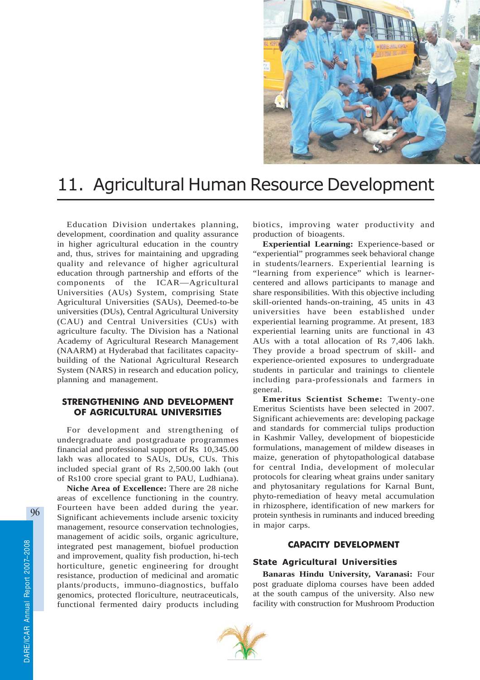

# 11. Agricultural Human Resource Development

Education Division undertakes planning, development, coordination and quality assurance in higher agricultural education in the country and, thus, strives for maintaining and upgrading quality and relevance of higher agricultural education through partnership and efforts of the components of the ICAR—Agricultural Universities (AUs) System, comprising State Agricultural Universities (SAUs), Deemed-to-be universities (DUs), Central Agricultural University (CAU) and Central Universities (CUs) with agriculture faculty. The Division has a National Academy of Agricultural Research Management (NAARM) at Hyderabad that facilitates capacitybuilding of the National Agricultural Research System (NARS) in research and education policy, planning and management.

# STRENGTHENING AND DEVELOPMENT OF AGRICULTURAL UNIVERSITIES

For development and strengthening of undergraduate and postgraduate programmes financial and professional support of Rs 10,345.00 lakh was allocated to SAUs, DUs, CUs. This included special grant of Rs 2,500.00 lakh (out of Rs100 crore special grant to PAU, Ludhiana).

**Niche Area of Excellence:** There are 28 niche areas of excellence functioning in the country. Fourteen have been added during the year. Significant achievements include arsenic toxicity management, resource conservation technologies, management of acidic soils, organic agriculture, integrated pest management, biofuel production and improvement, quality fish production, hi-tech horticulture, genetic engineering for drought resistance, production of medicinal and aromatic plants/products, immuno-diagnostics, buffalo genomics, protected floriculture, neutraceuticals, functional fermented dairy products including

biotics, improving water productivity and production of bioagents.

**Experiential Learning:** Experience-based or "experiential" programmes seek behavioral change in students/learners. Experiential learning is "learning from experience" which is learnercentered and allows participants to manage and share responsibilities. With this objective including skill-oriented hands-on-training, 45 units in 43 universities have been established under experiential learning programme. At present, 183 experiential learning units are functional in 43 AUs with a total allocation of Rs 7,406 lakh. They provide a broad spectrum of skill- and experience-oriented exposures to undergraduate students in particular and trainings to clientele including para-professionals and farmers in general.

**Emeritus Scientist Scheme:** Twenty-one Emeritus Scientists have been selected in 2007. Significant achievements are: developing package and standards for commercial tulips production in Kashmir Valley, development of biopesticide formulations, management of mildew diseases in maize, generation of phytopathological database for central India, development of molecular protocols for clearing wheat grains under sanitary and phytosanitary regulations for Karnal Bunt, phyto-remediation of heavy metal accumulation in rhizosphere, identification of new markers for protein synthesis in ruminants and induced breeding in major carps.

# CAPACITY DEVELOPMENT

## State Agricultural Universities

**Banaras Hindu University, Varanasi:** Four post graduate diploma courses have been added at the south campus of the university. Also new facility with construction for Mushroom Production

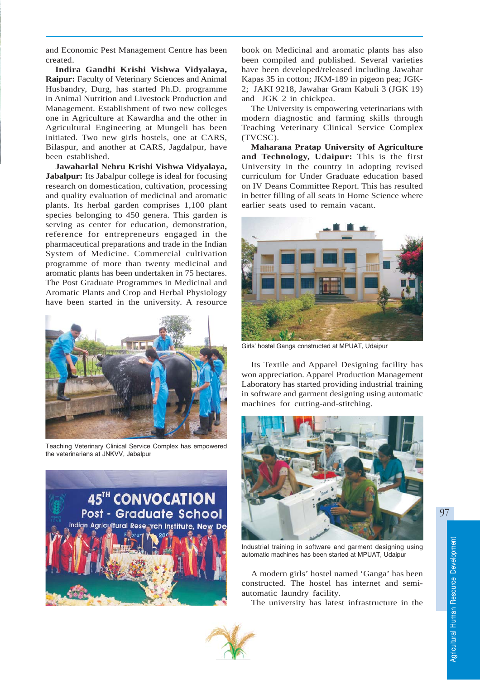and Economic Pest Management Centre has been created.

**Indira Gandhi Krishi Vishwa Vidyalaya, Raipur:** Faculty of Veterinary Sciences and Animal Husbandry, Durg, has started Ph.D. programme in Animal Nutrition and Livestock Production and Management. Establishment of two new colleges one in Agriculture at Kawardha and the other in Agricultural Engineering at Mungeli has been initiated. Two new girls hostels, one at CARS, Bilaspur, and another at CARS, Jagdalpur, have been established.

**Jawaharlal Nehru Krishi Vishwa Vidyalaya, Jabalpur:** Its Jabalpur college is ideal for focusing research on domestication, cultivation, processing and quality evaluation of medicinal and aromatic plants. Its herbal garden comprises 1,100 plant species belonging to 450 genera. This garden is serving as center for education, demonstration, reference for entrepreneurs engaged in the pharmaceutical preparations and trade in the Indian System of Medicine. Commercial cultivation programme of more than twenty medicinal and aromatic plants has been undertaken in 75 hectares. The Post Graduate Programmes in Medicinal and Aromatic Plants and Crop and Herbal Physiology have been started in the university. A resource



Teaching Veterinary Clinical Service Complex has empowered the veterinarians at JNKVV, Jabalpur



book on Medicinal and aromatic plants has also been compiled and published. Several varieties have been developed/released including Jawahar Kapas 35 in cotton; JKM-189 in pigeon pea; JGK-2; JAKI 9218, Jawahar Gram Kabuli 3 (JGK 19) and JGK 2 in chickpea.

The University is empowering veterinarians with modern diagnostic and farming skills through Teaching Veterinary Clinical Service Complex (TVCSC).

**Maharana Pratap University of Agriculture and Technology, Udaipur:** This is the first University in the country in adopting revised curriculum for Under Graduate education based on IV Deans Committee Report. This has resulted in better filling of all seats in Home Science where earlier seats used to remain vacant.



Girls' hostel Ganga constructed at MPUAT, Udaipur

Its Textile and Apparel Designing facility has won appreciation. Apparel Production Management Laboratory has started providing industrial training in software and garment designing using automatic machines for cutting-and-stitching.



Industrial training in software and garment designing using automatic machines has been started at MPUAT, Udaipur

A modern girls' hostel named 'Ganga' has been constructed. The hostel has internet and semiautomatic laundry facility.

The university has latest infrastructure in the



97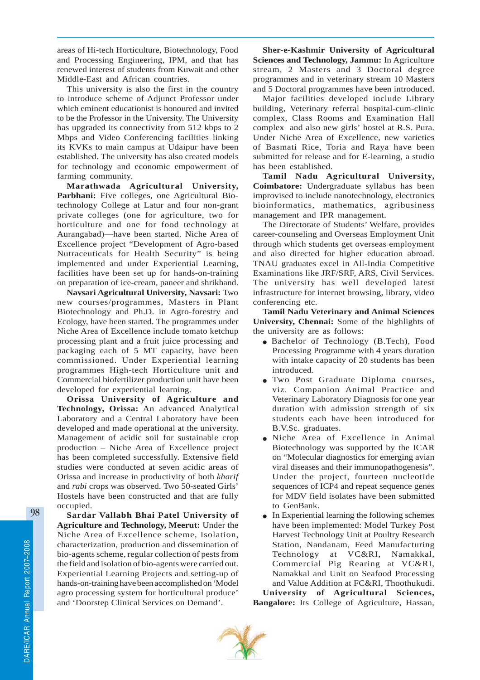areas of Hi-tech Horticulture, Biotechnology, Food and Processing Engineering, IPM, and that has renewed interest of students from Kuwait and other Middle-East and African countries.

This university is also the first in the country to introduce scheme of Adjunct Professor under which eminent educationist is honoured and invited to be the Professor in the University. The University has upgraded its connectivity from 512 kbps to 2 Mbps and Video Conferencing facilities linking its KVKs to main campus at Udaipur have been established. The university has also created models for technology and economic empowerment of farming community.

**Marathwada Agricultural University, Parbhani:** Five colleges, one Agricultural Biotechnology College at Latur and four non-grant private colleges (one for agriculture, two for horticulture and one for food technology at Aurangabad)—have been started. Niche Area of Excellence project "Development of Agro-based Nutraceuticals for Health Security" is being implemented and under Experiential Learning, facilities have been set up for hands-on-training on preparation of ice-cream, paneer and shrikhand.

**Navsari Agricultural University, Navsari:** Two new courses/programmes, Masters in Plant Biotechnology and Ph.D. in Agro-forestry and Ecology, have been started. The programmes under Niche Area of Excellence include tomato ketchup processing plant and a fruit juice processing and packaging each of 5 MT capacity, have been commissioned. Under Experiential learning programmes High-tech Horticulture unit and Commercial biofertilizer production unit have been developed for experiential learning.

**Orissa University of Agriculture and Technology, Orissa:** An advanced Analytical Laboratory and a Central Laboratory have been developed and made operational at the university. Management of acidic soil for sustainable crop production – Niche Area of Excellence project has been completed successfully. Extensive field studies were conducted at seven acidic areas of Orissa and increase in productivity of both *kharif* and *rabi* crops was observed. Two 50-seated Girls' Hostels have been constructed and that are fully occupied.

**Sardar Vallabh Bhai Patel University of Agriculture and Technology, Meerut:** Under the Niche Area of Excellence scheme, Isolation, characterization, production and dissemination of bio-agents scheme, regular collection of pests from the field and isolation of bio-agents were carried out. Experiential Learning Projects and setting-up of hands-on-training have been accomplished on 'Model agro processing system for horticultural produce' and 'Doorstep Clinical Services on Demand'.

**Sher-e-Kashmir University of Agricultural Sciences and Technology, Jammu:** In Agriculture stream, 2 Masters and 3 Doctoral degree programmes and in veterinary stream 10 Masters and 5 Doctoral programmes have been introduced.

Major facilities developed include Library building, Veterinary referral hospital-cum-clinic complex, Class Rooms and Examination Hall complex and also new girls' hostel at R.S. Pura. Under Niche Area of Excellence, new varieties of Basmati Rice, Toria and Raya have been submitted for release and for E-learning, a studio has been established.

**Tamil Nadu Agricultural University, Coimbatore:** Undergraduate syllabus has been improvised to include nanotechnology, electronics bioinformatics, mathematics, agribusiness management and IPR management.

The Directorate of Students' Welfare, provides career-counseling and Overseas Employment Unit through which students get overseas employment and also directed for higher education abroad. TNAU graduates excel in All-India Competitive Examinations like JRF/SRF, ARS, Civil Services. The university has well developed latest infrastructure for internet browsing, library, video conferencing etc.

**Tamil Nadu Veterinary and Animal Sciences University, Chennai:** Some of the highlights of the university are as follows:

- Bachelor of Technology (B.Tech), Food Processing Programme with 4 years duration with intake capacity of 20 students has been introduced.
- Two Post Graduate Diploma courses, viz. Companion Animal Practice and Veterinary Laboratory Diagnosis for one year duration with admission strength of six students each have been introduced for B.V.Sc. graduates.
- Niche Area of Excellence in Animal Biotechnology was supported by the ICAR on "Molecular diagnostics for emerging avian viral diseases and their immunopathogenesis". Under the project, fourteen nucleotide sequences of ICP4 and repeat sequence genes for MDV field isolates have been submitted to GenBank.
- In Experiential learning the following schemes have been implemented: Model Turkey Post Harvest Technology Unit at Poultry Research Station, Nandanam, Feed Manufacturing Technology at VC&RI, Namakkal, Commercial Pig Rearing at VC&RI, Namakkal and Unit on Seafood Processing and Value Addition at FC&RI, Thoothukudi.

**University of Agricultural Sciences, Bangalore:** Its College of Agriculture, Hassan,

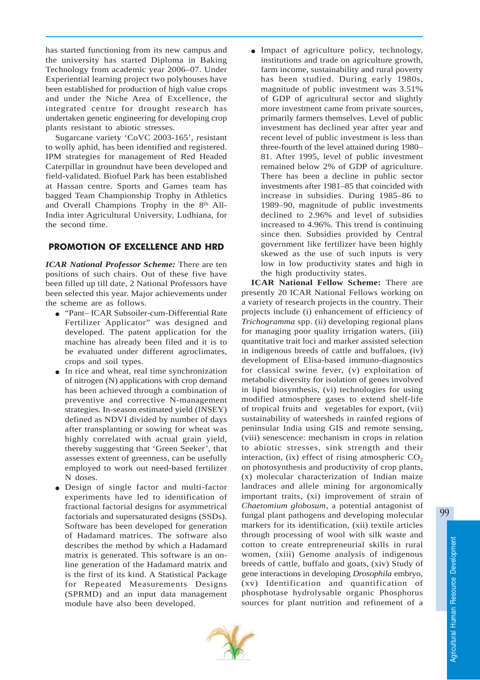has started functioning from its new campus and the university has started Diploma in Baking Technology from academic year 2006–07. Under Experiential learning project two polyhouses have been established for production of high value crops and under the Niche Area of Excellence, the integrated centre for drought research has undertaken genetic engineering for developing crop plants resistant to abiotic stresses.

Sugarcane variety 'CoVC 2003-165', resistant to wolly aphid, has been identified and registered. IPM strategies for management of Red Headed Caterpillar in groundnut have been developed and field-validated. Biofuel Park has been established at Hassan centre. Sports and Games team has bagged Team Championship Trophy in Athletics and Overall Champions Trophy in the 8<sup>th</sup> All-India inter Agricultural University, Ludhiana, for the second time.

# PROMOTION OF EXCELLENCE AND HRD

*ICAR National Professor Scheme:* There are ten positions of such chairs. Out of these five have been filled up till date, 2 National Professors have been selected this year. Major achievements under the scheme are as follows.

- "Pant– ICAR Subsoiler-cum-Differential Rate Fertilizer Applicator" was designed and developed. The patent application for the machine has already been filed and it is to be evaluated under different agroclimates, crops and soil types.
- In rice and wheat, real time synchronization of nitrogen (N) applications with crop demand has been achieved through a combination of preventive and corrective N-management strategies. In-season estimated yield (INSEY) defined as NDVI divided by number of days after transplanting or sowing for wheat was highly correlated with actual grain yield, thereby suggesting that 'Green Seeker', that assesses extent of greenness, can be usefully employed to work out need-based fertilizer N doses.
- Design of single factor and multi-factor experiments have led to identification of fractional factorial designs for asymmetrical factorials and supersaturated designs (SSDs). Software has been developed for generation of Hadamard matrices. The software also describes the method by which a Hadamard matrix is generated. This software is an online generation of the Hadamard matrix and is the first of its kind. A Statistical Package for Repeated Measurements Designs (SPRMD) and an input data management module have also been developed.

• Impact of agriculture policy, technology, institutions and trade on agriculture growth, farm income, sustainability and rural poverty has been studied. During early 1980s, magnitude of public investment was 3.51% of GDP of agricultural sector and slightly more investment came from private sources, primarily farmers themselves. Level of public investment has declined year after year and recent level of public investment is less than three-fourth of the level attained during 1980– 81. After 1995, level of public investment remained below 2% of GDP of agriculture. There has been a decline in public sector investments after 1981–85 that coincided with increase in subsidies. During 1985–86 to 1989–90, magnitude of public investments declined to 2.96% and level of subsidies increased to 4.96%. This trend is continuing since then. Subsidies provided by Central government like fertilizer have been highly skewed as the use of such inputs is very low in low productivity states and high in the high productivity states.

**ICAR National Fellow Scheme:** There are presently 20 ICAR National Fellows working on a variety of research projects in the country. Their projects include (i) enhancement of efficiency of *Trichogramma* spp. (ii) developing regional plans for managing poor quality irrigation waters, (iii) quantitative trait loci and marker assisted selection in indigenous breeds of cattle and buffaloes, (iv) development of Elisa-based immuno-diagnostics for classical swine fever, (v) exploitation of metabolic diversity for isolation of genes involved in lipid biosynthesis, (vi) technologies for using modified atmosphere gases to extend shelf-life of tropical fruits and vegetables for export, (vii) sustainability of watersheds in rainfed regions of peninsular India using GIS and remote sensing, (viii) senescence: mechanism in crops in relation to abiotic stresses, sink strength and their interaction,  $(ix)$  effect of rising atmospheric  $CO<sub>2</sub>$ on photosynthesis and productivity of crop plants, (x) molecular characterization of Indian maize landraces and allele mining for argonomically important traits, (xi) improvement of strain of *Chaetomium globosum*, a potential antagonist of fungal plant pathogens and developing molecular markers for its identification, (xii) textile articles through processing of wool with silk waste and cotton to create entrepreneurial skills in rural women, (xiii) Genome analysis of indigenous breeds of cattle, buffalo and goats, (xiv) Study of gene interactions in developing *Drosophila* embryo, (xv) Identification and quantification of phosphotase hydrolysable organic Phosphorus sources for plant nutrition and refinement of a



99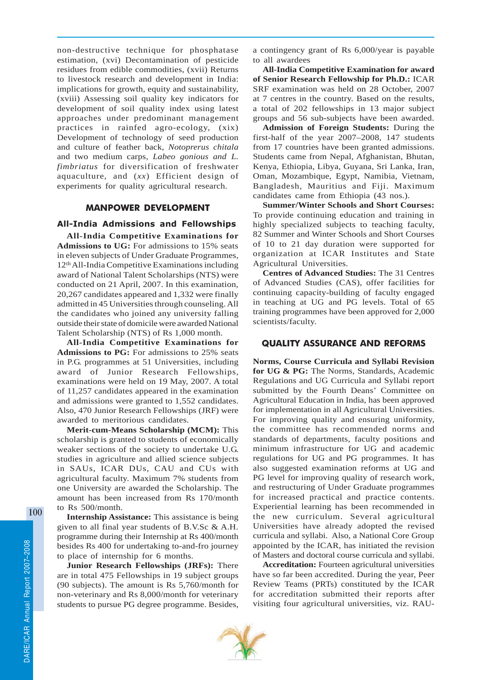non-destructive technique for phosphatase estimation, (xvi) Decontamination of pesticide residues from edible commodities, (xvii) Returns to livestock research and development in India: implications for growth, equity and sustainability, (xviii) Assessing soil quality key indicators for development of soil quality index using latest approaches under predominant management practices in rainfed agro-ecology, (xix) Development of technology of seed production and culture of feather back, *Notoprerus chitala* and two medium carps*, Labeo gonious and L. fimbriatus* for diversification of freshwater aquaculture, and (*xx*) Efficient design of experiments for quality agricultural research.

### MANPOWER DEVELOPMENT

# All-India Admissions and Fellowships

**All-India Competitive Examinations for Admissions to UG:** For admissions to 15% seats in eleven subjects of Under Graduate Programmes, 12th All-India Competitive Examinations including award of National Talent Scholarships (NTS) were conducted on 21 April, 2007. In this examination, 20,267 candidates appeared and 1,332 were finally admitted in 45 Universities through counseling. All the candidates who joined any university falling outside their state of domicile were awarded National Talent Scholarship (NTS) of Rs 1,000 month.

**All-India Competitive Examinations for Admissions to PG:** For admissions to 25% seats in P.G. programmes at 51 Universities, including award of Junior Research Fellowships, examinations were held on 19 May, 2007. A total of 11,257 candidates appeared in the examination and admissions were granted to 1,552 candidates. Also, 470 Junior Research Fellowships (JRF) were awarded to meritorious candidates.

**Merit-cum-Means Scholarship (MCM):** This scholarship is granted to students of economically weaker sections of the society to undertake U.G. studies in agriculture and allied science subjects in SAUs, ICAR DUs, CAU and CUs with agricultural faculty. Maximum 7% students from one University are awarded the Scholarship. The amount has been increased from Rs 170/month to Rs 500/month.

**Internship Assistance:** This assistance is being given to all final year students of B.V.Sc & A.H. programme during their Internship at Rs 400/month besides Rs 400 for undertaking to-and-fro journey to place of internship for 6 months.

**Junior Research Fellowships (JRFs):** There are in total 475 Fellowships in 19 subject groups (90 subjects). The amount is Rs 5,760/month for non-veterinary and Rs 8,000/month for veterinary students to pursue PG degree programme. Besides,

a contingency grant of Rs 6,000/year is payable to all awardees

**All-India Competitive Examination for award of Senior Research Fellowship for Ph.D.:** ICAR SRF examination was held on 28 October, 2007 at 7 centres in the country. Based on the results, a total of 202 fellowships in 13 major subject groups and 56 sub-subjects have been awarded.

**Admission of Foreign Students:** During the first-half of the year 2007–2008, 147 students from 17 countries have been granted admissions. Students came from Nepal, Afghanistan, Bhutan, Kenya, Ethiopia, Libya, Guyana, Sri Lanka, Iran, Oman, Mozambique, Egypt, Namibia, Vietnam, Bangladesh, Mauritius and Fiji. Maximum candidates came from Ethiopia (43 nos.).

**Summer/Winter Schools and Short Courses:** To provide continuing education and training in highly specialized subjects to teaching faculty, 82 Summer and Winter Schools and Short Courses of 10 to 21 day duration were supported for organization at ICAR Institutes and State Agricultural Universities.

**Centres of Advanced Studies:** The 31 Centres of Advanced Studies (CAS), offer facilities for continuing capacity-building of faculty engaged in teaching at UG and PG levels. Total of 65 training programmes have been approved for 2,000 scientists/faculty.

## QUALITY ASSURANCE AND REFORMS

**Norms, Course Curricula and Syllabi Revision for UG & PG:** The Norms, Standards, Academic Regulations and UG Curricula and Syllabi report submitted by the Fourth Deans' Committee on Agricultural Education in India, has been approved for implementation in all Agricultural Universities. For improving quality and ensuring uniformity, the committee has recommended norms and standards of departments, faculty positions and minimum infrastructure for UG and academic regulations for UG and PG programmes. It has also suggested examination reforms at UG and PG level for improving quality of research work, and restructuring of Under Graduate programmes for increased practical and practice contents. Experiential learning has been recommended in the new curriculum. Several agricultural Universities have already adopted the revised curricula and syllabi. Also, a National Core Group appointed by the ICAR, has initiated the revision of Masters and doctoral course curricula and syllabi.

**Accreditation:** Fourteen agricultural universities have so far been accredited. During the year, Peer Review Teams (PRTs) constituted by the ICAR for accreditation submitted their reports after visiting four agricultural universities, viz. RAU-

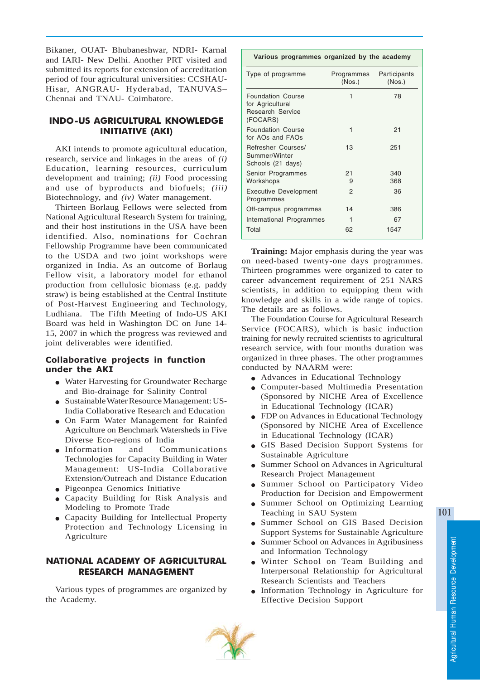Bikaner, OUAT- Bhubaneshwar, NDRI- Karnal and IARI- New Delhi. Another PRT visited and submitted its reports for extension of accreditation period of four agricultural universities: CCSHAU-Hisar, ANGRAU- Hyderabad, TANUVAS– Chennai and TNAU- Coimbatore.

# INDO-US AGRICULTURAL KNOWLEDGE INITIATIVE (AKI)

AKI intends to promote agricultural education, research, service and linkages in the areas of *(i)* Education, learning resources, curriculum development and training; *(ii)* Food processing and use of byproducts and biofuels; *(iii)* Biotechnology, and *(iv)* Water management.

Thirteen Borlaug Fellows were selected from National Agricultural Research System for training, and their host institutions in the USA have been identified. Also, nominations for Cochran Fellowship Programme have been communicated to the USDA and two joint workshops were organized in India. As an outcome of Borlaug Fellow visit, a laboratory model for ethanol production from cellulosic biomass (e.g. paddy straw) is being established at the Central Institute of Post-Harvest Engineering and Technology, Ludhiana. The Fifth Meeting of Indo-US AKI Board was held in Washington DC on June 14- 15, 2007 in which the progress was reviewed and joint deliverables were identified.

## Collaborative projects in function under the AKI

- Water Harvesting for Groundwater Recharge and Bio-drainage for Salinity Control
- Sustainable Water Resource Management: US-India Collaborative Research and Education
- On Farm Water Management for Rainfed Agriculture on Benchmark Watersheds in Five Diverse Eco-regions of India
- Information and Communications Technologies for Capacity Building in Water Management: US-India Collaborative Extension/Outreach and Distance Education
- Pigeonpea Genomics Initiative
- Capacity Building for Risk Analysis and Modeling to Promote Trade
- Capacity Building for Intellectual Property Protection and Technology Licensing in Agriculture

# NATIONAL ACADEMY OF AGRICULTURAL RESEARCH MANAGEMENT

Various types of programmes are organized by the Academy.

## **Various programmes organized by the academy**

| Type of programme                                                                   | Programmes<br>(Nos.) | Participants<br>(Nos.) |
|-------------------------------------------------------------------------------------|----------------------|------------------------|
| <b>Foundation Course</b><br>for Agricultural<br><b>Research Service</b><br>(FOCARS) | 1                    | 78                     |
| <b>Foundation Course</b><br>for AOs and FAOs                                        | 1                    | 21                     |
| Refresher Courses/<br>Summer/Winter<br>Schools (21 days)                            | 13                   | 251                    |
| Senior Programmes<br>Workshops                                                      | 21<br>9              | 340<br>368             |
| <b>Executive Development</b><br>Programmes                                          | 2                    | 36                     |
| Off-campus programmes                                                               | 14                   | 386                    |
| International Programmes                                                            | 1                    | 67                     |
| Total                                                                               | 62                   | 1547                   |

**Training:** Major emphasis during the year was on need-based twenty-one days programmes. Thirteen programmes were organized to cater to career advancement requirement of 251 NARS scientists, in addition to equipping them with knowledge and skills in a wide range of topics. The details are as follows.

The Foundation Course for Agricultural Research Service (FOCARS), which is basic induction training for newly recruited scientists to agricultural research service, with four months duration was organized in three phases. The other programmes conducted by NAARM were:

- Advances in Educational Technology
- Computer-based Multimedia Presentation (Sponsored by NICHE Area of Excellence in Educational Technology (ICAR)
- FDP on Advances in Educational Technology (Sponsored by NICHE Area of Excellence in Educational Technology (ICAR)
- GIS Based Decision Support Systems for Sustainable Agriculture
- Summer School on Advances in Agricultural Research Project Management
- Summer School on Participatory Video Production for Decision and Empowerment
- Summer School on Optimizing Learning Teaching in SAU System
- Summer School on GIS Based Decision Support Systems for Sustainable Agriculture
- Summer School on Advances in Agribusiness and Information Technology
- Winter School on Team Building and Interpersonal Relationship for Agricultural Research Scientists and Teachers
- Information Technology in Agriculture for Effective Decision Support